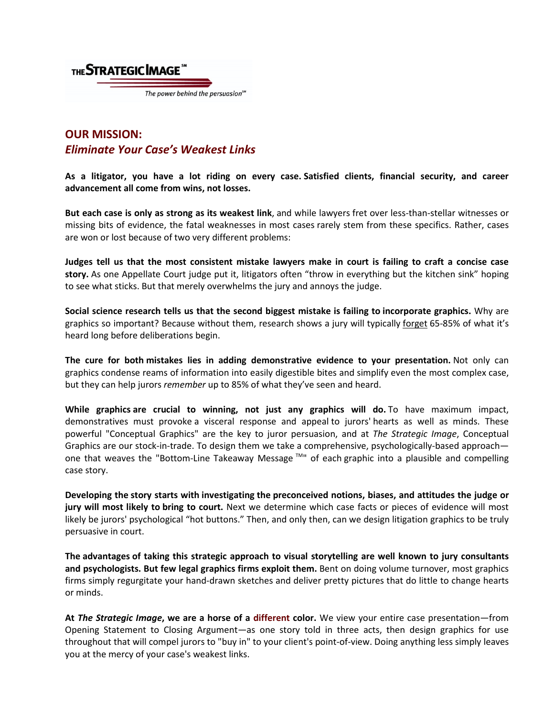

## **OUR MISSION:** *Eliminate Your Case's Weakest Links*

**As a litigator, you have a lot riding on every case. Satisfied clients, financial security, and career advancement all come from wins, not losses.**

**But each case is only as strong as its weakest link**, and while lawyers fret over less-than-stellar witnesses or missing bits of evidence, the fatal weaknesses in most cases rarely stem from these specifics. Rather, cases are won or lost because of two very different problems:

**Judges tell us that the most consistent mistake lawyers make in court is failing to craft a concise case story.** As one Appellate Court judge put it, litigators often "throw in everything but the kitchen sink" hoping to see what sticks. But that merely overwhelms the jury and annoys the judge.

**Social science research tells us that the second biggest mistake is failing to incorporate graphics.** Why are graphics so important? Because without them, research shows a jury will typically forget 65-85% of what it's heard long before deliberations begin.

**The cure for both mistakes lies in adding demonstrative evidence to your presentation.** Not only can graphics condense reams of information into easily digestible bites and simplify even the most complex case, but they can help jurors *remember* up to 85% of what they've seen and heard.

**While graphics are crucial to winning, not just any graphics will do.** To have maximum impact, demonstratives must provoke a visceral response and appeal to jurors' hearts as well as minds. These powerful "Conceptual Graphics" are the key to juror persuasion, and at *The Strategic Image*, Conceptual Graphics are our stock-in-trade. To design them we take a comprehensive, psychologically-based approach one that weaves the "Bottom-Line Takeaway Message ™" of each graphic into a plausible and compelling case story.

**Developing the story starts with investigating the preconceived notions, biases, and attitudes the judge or jury will most likely to bring to court.** Next we determine which case facts or pieces of evidence will most likely be jurors' psychological "hot buttons." Then, and only then, can we design litigation graphics to be truly persuasive in court.

**The advantages of taking this strategic approach to visual storytelling are well known to jury consultants and psychologists. But few legal graphics firms exploit them.** Bent on doing volume turnover, most graphics firms simply regurgitate your hand-drawn sketches and deliver pretty pictures that do little to change hearts or minds.

**At** *The Strategic Image***, we are a horse of a different color.** We view your entire case presentation—from Opening Statement to Closing Argument—as one story told in three acts, then design graphics for use throughout that will compel jurors to "buy in" to your client's point-of-view. Doing anything less simply leaves you at the mercy of your case's weakest links.